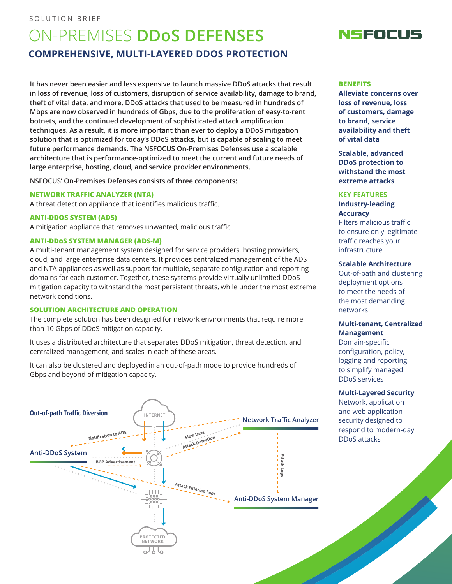## SOLUTION BRIEF

# ON-PREMISES **DDoS DEFENSES COMPREHENSIVE, MULTI-LAYERED DDOS PROTECTION**

**It has never been easier and less expensive to launch massive DDoS attacks that result in loss of revenue, loss of customers, disruption of service availability, damage to brand, theft of vital data, and more. DDoS attacks that used to be measured in hundreds of Mbps are now observed in hundreds of Gbps, due to the proliferation of easy-to-rent botnets, and the continued development of sophisticated attack amplification techniques. As a result, it is more important than ever to deploy a DDoS mitigation solution that is optimized for today's DDoS attacks, but is capable of scaling to meet future performance demands. The NSFOCUS On-Premises Defenses use a scalable architecture that is performance-optimized to meet the current and future needs of large enterprise, hosting, cloud, and service provider environments.**

**NSFOCUS' On-Premises Defenses consists of three components:**

#### **NETWORK TRAFFIC ANALYZER (NTA)**

A threat detection appliance that identifies malicious traffic.

#### **ANTI-DDOS SYSTEM (ADS)**

A mitigation appliance that removes unwanted, malicious traffic.

## **ANTI-DDoS SYSTEM MANAGER (ADS-M)**

A multi-tenant management system designed for service providers, hosting providers, cloud, and large enterprise data centers. It provides centralized management of the ADS and NTA appliances as well as support for multiple, separate configuration and reporting domains for each customer. Together, these systems provide virtually unlimited DDoS mitigation capacity to withstand the most persistent threats, while under the most extreme network conditions.

#### **SOLUTION ARCHITECTURE AND OPERATION**

The complete solution has been designed for network environments that require more than 10 Gbps of DDoS mitigation capacity.

It uses a distributed architecture that separates DDoS mitigation, threat detection, and centralized management, and scales in each of these areas.

It can also be clustered and deployed in an out-of-path mode to provide hundreds of Gbps and beyond of mitigation capacity.





#### **BENEFITS**

**Alleviate concerns over loss of revenue, loss of customers, damage to brand, service availability and theft of vital data**

**Scalable, advanced DDoS protection to withstand the most extreme attacks**

## **KEY FEATURES Industry-leading Accuracy**

Filters malicious traffic to ensure only legitimate traffic reaches your infrastructure

#### **Scalable Architecture**

Out-of-path and clustering deployment options to meet the needs of the most demanding networks

## **Multi-tenant, Centralized Management**

Domain-specific configuration, policy, logging and reporting to simplify managed DDoS services

#### **Multi-Layered Security**

Network, application and web application security designed to respond to modern-day DDoS attacks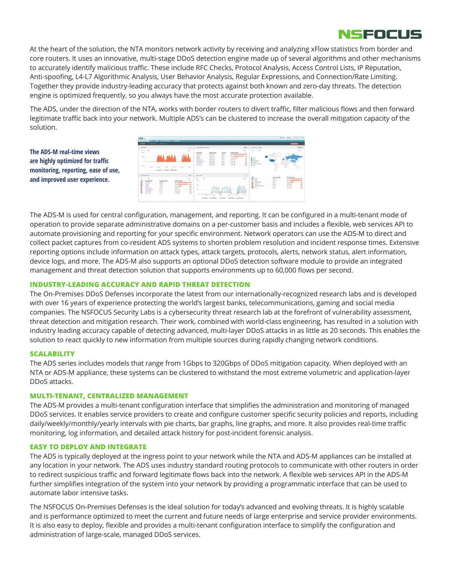

At the heart of the solution, the NTA monitors network activity by receiving and analyzing xFlow statistics from border and core routers. It uses an innovative, multi-stage DDoS detection engine made up of several algorithms and other mechanisms to accurately identify malicious traffic. These include RFC Checks, Protocol Analysis, Access Control Lists, IP Reputation, Anti-spoofing, L4-L7 Algorithmic Analysis, User Behavior Analysis, Regular Expressions, and Connection/Rate Limiting. Together they provide industry-leading accuracy that protects against both known and zero-day threats. The detection engine is optimized frequently, so you always have the most accurate protection available.

The ADS, under the direction of the NTA, works with border routers to divert traffic, filter malicious flows and then forward legitimate traffic back into your network. Multiple ADS's can be clustered to increase the overall mitigation capacity of the solution.

**The ADS-M real-time views are highly optimized for traffic monitoring, reporting, ease of use, and improved user experience.**



The ADS-M is used for central configuration, management, and reporting. It can be configured in a multi-tenant mode of operation to provide separate administrative domains on a per-customer basis and includes a flexible, web services API to automate provisioning and reporting for your specific environment. Network operators can use the ADS-M to direct and collect packet captures from co-resident ADS systems to shorten problem resolution and incident response times. Extensive reporting options include information on attack types, attack targets, protocols, alerts, network status, alert information, device logs, and more. The ADS-M also supports an optional DDoS detection software module to provide an integrated management and threat detection solution that supports environments up to 60,000 flows per second.

## **INDUSTRY-LEADING ACCURACY AND RAPID THREAT DETECTION**

The On-Premises DDoS Defenses incorporate the latest from our internationally-recognized research labs and is developed with over 16 years of experience protecting the world's largest banks, telecommunications, gaming and social media companies. The NSFOCUS Security Labs is a cybersecurity threat research lab at the forefront of vulnerability assessment, threat detection and mitigation research. Their work, combined with world-class engineering, has resulted in a solution with industry leading accuracy capable of detecting advanced, multi-layer DDoS attacks in as little as 20 seconds. This enables the solution to react quickly to new information from multiple sources during rapidly changing network conditions.

## **SCALABILITY**

The ADS series includes models that range from 1Gbps to 320Gbps of DDoS mitigation capacity. When deployed with an NTA or ADS-M appliance, these systems can be clustered to withstand the most extreme volumetric and application-layer DDoS attacks.

## **MULTI-TENANT, CENTRALIZED MANAGEMENT**

The ADS-M provides a multi-tenant configuration interface that simplifies the administration and monitoring of managed DDoS services. It enables service providers to create and configure customer specific security policies and reports, including daily/weekly/monthly/yearly intervals with pie charts, bar graphs, line graphs, and more. It also provides real-time traffic monitoring, log information, and detailed attack history for post-incident forensic analysis.

## **EASY TO DEPLOY AND INTEGRATE**

The ADS is typically deployed at the ingress point to your network while the NTA and ADS-M appliances can be installed at any location in your network. The ADS uses industry standard routing protocols to communicate with other routers in order to redirect suspicious traffic and forward legitimate flows back into the network. A flexible web services API in the ADS-M further simplifies integration of the system into your network by providing a programmatic interface that can be used to automate labor intensive tasks.

The NSFOCUS On-Premises Defenses is the ideal solution for today's advanced and evolving threats. It is highly scalable and is performance optimized to meet the current and future needs of large enterprise and service provider environments. It is also easy to deploy, flexible and provides a multi-tenant configuration interface to simplify the configuration and administration of large-scale, managed DDoS services.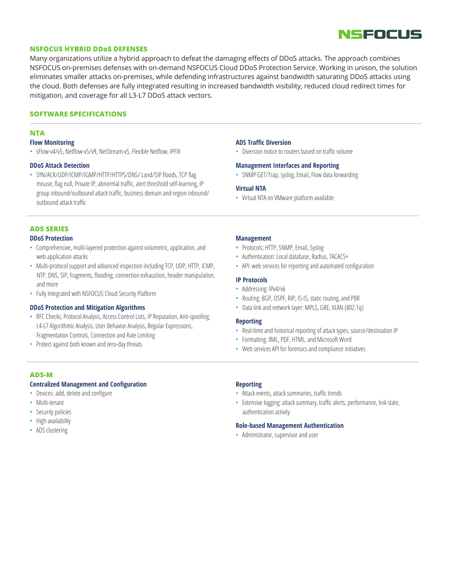

#### **NSFOCUS HYBRID DDoS DEFENSES**

Many organizations utilize a hybrid approach to defeat the damaging effects of DDoS attacks. The approach combines NSFOCUS on-premises defenses with on-demand NSFOCUS Cloud DDoS Protection Service. Working in unison, the solution eliminates smaller attacks on-premises, while defending infrastructures against bandwidth saturating DDoS attacks using the cloud. Both defenses are fully integrated resulting in increased bandwidth visibility, reduced cloud redirect times for mitigation, and coverage for all L3-L7 DDoS attack vectors.

#### **SOFTWARE SPECIFICATIONS**

## **NTA**

#### **Flow Monitoring**

• sFlow-v4/v5, Netflow-v5/v9, NetStream-v5, Flexible Netflow, IPFIX

#### **DDoS Attack Detection**

• SYN/ACK/UDP/ICMP/IGMP/HTTP/HTTPS/DNS/ Land/SIP floods, TCP flag misuse, flag null, Private IP, abnormal traffic, alert threshold self-learning, IP group inbound/outbound attack traffic, business domain and region inbound/ outbound attack traffic

#### **ADS SERIES DDoS Protection**

- Comprehensive, multi-layered protection against volumetric, application, and
- web application attacks • Multi-protocol support and advanced inspection including TCP, UDP, HTTP, ICMP, NTP, DNS, SIP, fragments, flooding, connection exhaustion, header manipulation, and more
- Fully Integrated with NSFOCUS Cloud Security Platform

#### **DDoS Protection and Mitigation Algorithms**

- RFC Checks, Protocol Analysis, Access Control Lists, IP Reputation, Anti-spoofing, L4-L7 Algorithmic Analysis, User Behavior Analysis, Regular Expressions, Fragmentation Controls, Connection and Rate Limiting
- Protect against both known and zero-day threats

## **ADS-M**

#### **Centralized Management and Configuration**

- Devices: add, delete and configure
- Multi-tenant
- Security policies
- High availability
- ADS clustering

#### **ADS Traffic Diversion**

• Diversion notice to routers based on traffic volume

#### **Management Interfaces and Reporting**

• SNMP GET/Trap, syslog, Email, Flow data forwarding

#### **Virtual NTA**

• Virtual NTA on VMware platform available

#### **Management**

- Protocols: HTTP, SNMP, Email, Syslog
- Authentication: Local database, Radius, TACACS+
- API: web services for reporting and automated configuration

#### **IP Protocols**

- Addressing: IPv4/v6
- Routing: BGP, OSPF, RIP, IS-IS, static routing, and PBR
- Data link and network layer: MPLS, GRE, VLAN (802.1q)

#### **Reporting**

- Real-time and historical reporting of attack types, source/destination IP
- Formatting: XML, PDF, HTML, and Microsoft Word
- Web services API for forensics and compliance initiatives

#### **Reporting**

- Attack events, attack summaries, traffic trends
- Extensive logging: attack summary, traffic alerts, performance, link state, authentication activity

#### **Role-based Management Authentication**

• Administrator, supervisor and user